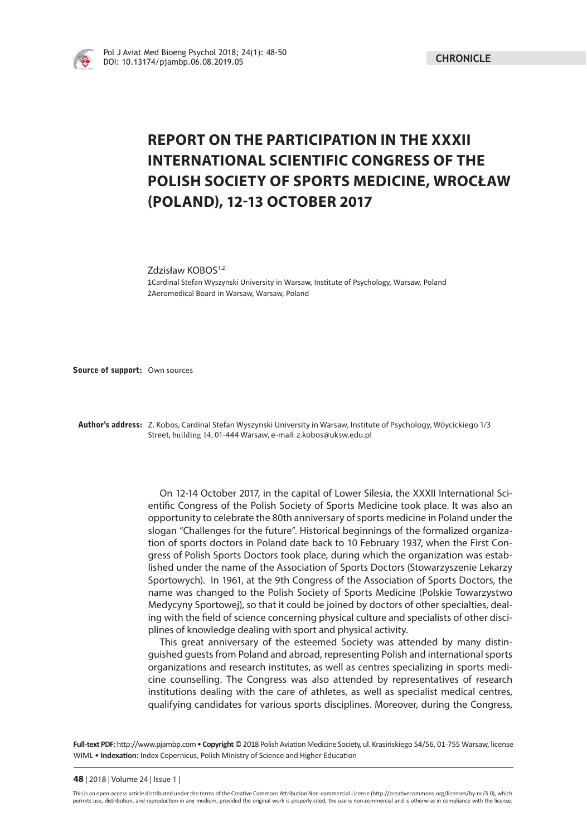

## **REPORT ON THE PARTICIPATION IN THE XXXII INTERNATIONAL SCIENTIFIC CONGRESS OF THE POLISH SOCIETY OF SPORTS MEDICINE, WROCŁAW (POLAND), 12-13 OCTOBER 2017**

Zdzisław KOBOS<sup>1,2</sup>

1Cardinal Stefan Wyszynski University in Warsaw, Institute of Psychology, Warsaw, Poland 2Aeromedical Board in Warsaw, Warsaw, Poland

**Source of support:** Own sources

**Author's address:** Z. Kobos, Cardinal Stefan Wyszynski University in Warsaw, Institute of Psychology, Wóycickiego 1/3 Street, building 14, 01-444 Warsaw, e-mail: z.kobos@uksw.edu.pl

> On 12-14 October 2017, in the capital of Lower Silesia, the XXXII International Scientific Congress of the Polish Society of Sports Medicine took place. It was also an opportunity to celebrate the 80th anniversary of sports medicine in Poland under the slogan "Challenges for the future". Historical beginnings of the formalized organization of sports doctors in Poland date back to 10 February 1937, when the First Congress of Polish Sports Doctors took place, during which the organization was established under the name of the Association of Sports Doctors (Stowarzyszenie Lekarzy Sportowych). In 1961, at the 9th Congress of the Association of Sports Doctors, the name was changed to the Polish Society of Sports Medicine (Polskie Towarzystwo Medycyny Sportowej), so that it could be joined by doctors of other specialties, dealing with the field of science concerning physical culture and specialists of other disciplines of knowledge dealing with sport and physical activity.

> This great anniversary of the esteemed Society was attended by many distinguished guests from Poland and abroad, representing Polish and international sports organizations and research institutes, as well as centres specializing in sports medicine counselling. The Congress was also attended by representatives of research institutions dealing with the care of athletes, as well as specialist medical centres, qualifying candidates for various sports disciplines. Moreover, during the Congress,

Full-text PDF: http://www.pjambp.com • Copyright © 2018 Polish Aviation Medicine Society, ul. Krasińskiego 54/56, 01-755 Warsaw, license WIML • Indexation: Index Copernicus, Polish Ministry of Science and Higher Education

This is an open-access article distributed under the terms of the Creative Commons Attribution Non-commercial License (http://creativecommons.org/licenses/by-nc/3.0), which permits use, distribution, and reproduction in any medium, provided the original work is properly cited, the use is non-commercial and is otherwise in compliance with the license.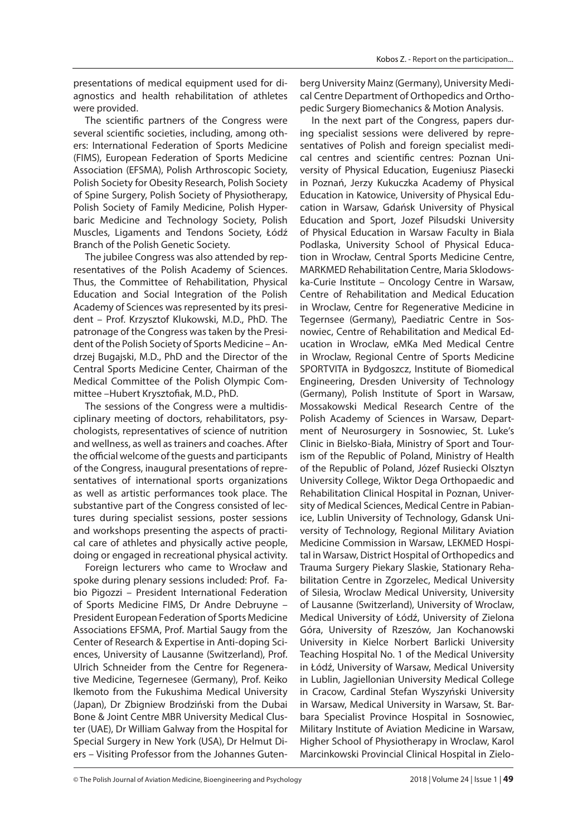presentations of medical equipment used for diagnostics and health rehabilitation of athletes were provided.

The scientific partners of the Congress were several scientific societies, including, among others: International Federation of Sports Medicine (FIMS), European Federation of Sports Medicine Association (EFSMA), Polish Arthroscopic Society, Polish Society for Obesity Research, Polish Society of Spine Surgery, Polish Society of Physiotherapy, Polish Society of Family Medicine, Polish Hyperbaric Medicine and Technology Society, Polish Muscles, Ligaments and Tendons Society, Łódź Branch of the Polish Genetic Society.

The jubilee Congress was also attended by representatives of the Polish Academy of Sciences. Thus, the Committee of Rehabilitation, Physical Education and Social Integration of the Polish Academy of Sciences was represented by its president – Prof. Krzysztof Klukowski, M.D., PhD. The patronage of the Congress was taken by the President of the Polish Society of Sports Medicine – Andrzej Bugajski, M.D., PhD and the Director of the Central Sports Medicine Center, Chairman of the Medical Committee of the Polish Olympic Committee -Hubert Krysztofiak, M.D., PhD.

The sessions of the Congress were a multidisciplinary meeting of doctors, rehabilitators, psychologists, representatives of science of nutrition and wellness, as well as trainers and coaches. After the official welcome of the quests and participants of the Congress, inaugural presentations of representatives of international sports organizations as well as artistic performances took place. The substantive part of the Congress consisted of lectures during specialist sessions, poster sessions and workshops presenting the aspects of practical care of athletes and physically active people, doing or engaged in recreational physical activity.

Foreign lecturers who came to Wrocław and spoke during plenary sessions included: Prof. Fabio Pigozzi – President International Federation of Sports Medicine FIMS, Dr Andre Debruyne – President European Federation of Sports Medicine Associations EFSMA, Prof. Martial Saugy from the Center of Research & Expertise in Anti-doping Sciences, University of Lausanne (Switzerland), Prof. Ulrich Schneider from the Centre for Regenerative Medicine, Tegernesee (Germany), Prof. Keiko Ikemoto from the Fukushima Medical University (Japan), Dr Zbigniew Brodziński from the Dubai Bone & Joint Centre MBR University Medical Cluster (UAE), Dr William Galway from the Hospital for Special Surgery in New York (USA), Dr Helmut Diers – Visiting Professor from the Johannes Gutenberg University Mainz (Germany), University Medical Centre Department of Orthopedics and Orthopedic Surgery Biomechanics & Motion Analysis.

In the next part of the Congress, papers during specialist sessions were delivered by representatives of Polish and foreign specialist medical centres and scientific centres: Poznan University of Physical Education, Eugeniusz Piasecki in Poznań, Jerzy Kukuczka Academy of Physical Education in Katowice, University of Physical Education in Warsaw, Gdańsk University of Physical Education and Sport, Jozef Pilsudski University of Physical Education in Warsaw Faculty in Biala Podlaska, University School of Physical Education in Wrocław, Central Sports Medicine Centre, MARKMED Rehabilitation Centre, Maria Sklodowska-Curie Institute – Oncology Centre in Warsaw, Centre of Rehabilitation and Medical Education in Wroclaw, Centre for Regenerative Medicine in Tegernsee (Germany), Paediatric Centre in Sosnowiec, Centre of Rehabilitation and Medical Education in Wroclaw, eMKa Med Medical Centre in Wroclaw, Regional Centre of Sports Medicine SPORTVITA in Bydgoszcz, Institute of Biomedical Engineering, Dresden University of Technology (Germany), Polish Institute of Sport in Warsaw, Mossakowski Medical Research Centre of the Polish Academy of Sciences in Warsaw, Department of Neurosurgery in Sosnowiec, St. Luke's Clinic in Bielsko-Biała, Ministry of Sport and Tourism of the Republic of Poland, Ministry of Health of the Republic of Poland, Józef Rusiecki Olsztyn University College, Wiktor Dega Orthopaedic and Rehabilitation Clinical Hospital in Poznan, University of Medical Sciences, Medical Centre in Pabianice, Lublin University of Technology, Gdansk University of Technology, Regional Military Aviation Medicine Commission in Warsaw, LEKMED Hospital in Warsaw, District Hospital of Orthopedics and Trauma Surgery Piekary Slaskie, Stationary Rehabilitation Centre in Zgorzelec, Medical University of Silesia, Wroclaw Medical University, University of Lausanne (Switzerland), University of Wroclaw, Medical University of Łódź, University of Zielona Góra, University of Rzeszów, Jan Kochanowski University in Kielce Norbert Barlicki University Teaching Hospital No. 1 of the Medical University in Łódź, University of Warsaw, Medical University in Lublin, Jagiellonian University Medical College in Cracow, Cardinal Stefan Wyszyński University in Warsaw, Medical University in Warsaw, St. Barbara Specialist Province Hospital in Sosnowiec, Military Institute of Aviation Medicine in Warsaw, Higher School of Physiotherapy in Wroclaw, Karol Marcinkowski Provincial Clinical Hospital in Zielo-